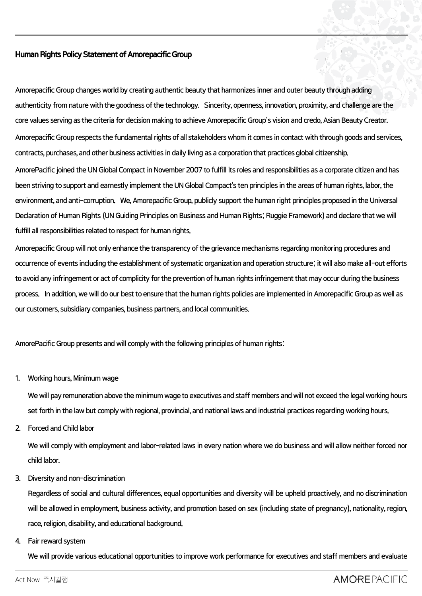## **Human Rights Policy Statement of Amorepacific Group**

**Amorepacific Group changes world by creating authentic beauty that harmonizes inner and outer beauty through adding authenticity from nature with the goodness of the technology. Sincerity, openness, innovation, proximity, and challenge are the core values serving as the criteria for decision making to achieve Amorepacific Group's vision and credo, Asian Beauty Creator. Amorepacific Group respects the fundamental rights of all stakeholders whom it comes in contact with through goods and services, contracts, purchases, and other business activities in daily living as a corporation that practices global citizenship.** 

**AmorePacific joined the UN Global Compact in November 2007 to fulfill its roles and responsibilities as a corporate citizen and has been striving to support and earnestly implement the UN Global Compact's ten principles in the areas of human rights, labor, the environment, and anti-corruption. We, Amorepacific Group, publicly support the human right principles proposed in the Universal Declaration of Human Rights (UN Guiding Principles on Business and Human Rights; Ruggie Framework)and declare that we will fulfill all responsibilities related to respect for human rights.**

**Amorepacific Group will not only enhance the transparency of the grievance mechanisms regarding monitoring procedures and occurrence of events including the establishment of systematic organization and operation structure; it will also make all-out efforts to avoid any infringement or act of complicity for the prevention of human rights infringement that may occur during the business process. In addition, we will do our best to ensure that the human rights policies are implemented in Amorepacific Group as well as our customers, subsidiary companies, business partners, and local communities.**

**AmorePacific Group presents and will comply with the following principles of human rights:**

**1. Working hours, Minimum wage**

**We will pay remuneration above the minimum wage to executives and staff members and will not exceed the legal working hours set forth in the law but comply with regional, provincial, and national laws and industrial practices regarding working hours.**

**2. Forced and Child labor**

**We will comply with employment and labor-related laws in every nation where we do business and will allow neither forced nor child labor.**

## **3. Diversity and non-discrimination**

**Regardless of social and cultural differences, equal opportunities and diversity will be upheld proactively, and no discrimination will be allowed in employment, business activity, and promotion based on sex (including state of pregnancy), nationality, region, race, religion, disability, and educational background.** 

**4. Fair reward system**

**We will provide various educational opportunities to improve work performance for executives and staff members and evaluate**